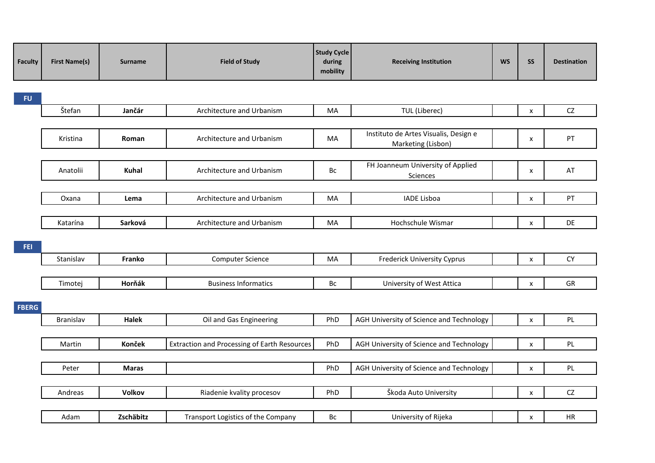| <b>Faculty</b> | <b>First Name(s)</b> | <b>Surname</b> | <b>Field of Study</b>                               | <b>Study Cycle</b><br>during<br>mobility | <b>Receiving Institution</b>                                | <b>WS</b> | SS                        | <b>Destination</b> |
|----------------|----------------------|----------------|-----------------------------------------------------|------------------------------------------|-------------------------------------------------------------|-----------|---------------------------|--------------------|
| <b>FU</b>      |                      |                |                                                     |                                          |                                                             |           |                           |                    |
|                | Štefan               | Jančár         | Architecture and Urbanism                           | MA                                       | TUL (Liberec)                                               |           | $\pmb{\chi}$              | CZ                 |
|                |                      |                |                                                     |                                          |                                                             |           |                           |                    |
|                | Kristina             | Roman          | Architecture and Urbanism                           | MA                                       | Instituto de Artes Visualis, Design e<br>Marketing (Lisbon) |           | $\boldsymbol{\mathsf{x}}$ | PT                 |
|                |                      |                |                                                     |                                          |                                                             |           |                           |                    |
|                | Anatolii             | <b>Kuhal</b>   | Architecture and Urbanism                           | Bc                                       | FH Joanneum University of Applied<br>Sciences               |           | $\boldsymbol{\mathsf{x}}$ | AT                 |
|                |                      |                |                                                     |                                          |                                                             |           |                           |                    |
|                | Oxana                | Lema           | Architecture and Urbanism                           | MA                                       | <b>IADE Lisboa</b>                                          |           | $\pmb{\mathsf{x}}$        | PT                 |
|                |                      |                |                                                     |                                          | Hochschule Wismar                                           |           |                           | DE                 |
|                | Katarína             | Sarková        | Architecture and Urbanism                           | MA                                       |                                                             |           | $\boldsymbol{\mathsf{x}}$ |                    |
| FEI.           |                      |                |                                                     |                                          |                                                             |           |                           |                    |
|                | Stanislav            | Franko         | <b>Computer Science</b>                             | MA                                       | <b>Frederick University Cyprus</b>                          |           | $\boldsymbol{\mathsf{x}}$ | <b>CY</b>          |
|                |                      |                |                                                     |                                          |                                                             |           |                           |                    |
|                | Timotej              | Horňák         | <b>Business Informatics</b>                         | Bc                                       | University of West Attica                                   |           | $\boldsymbol{\mathsf{x}}$ | GR                 |
| <b>FBERG</b>   |                      |                |                                                     |                                          |                                                             |           |                           |                    |
|                | <b>Branislav</b>     | Halek          | Oil and Gas Engineering                             | PhD                                      | AGH University of Science and Technology                    |           | $\pmb{\mathsf{X}}$        | PL                 |
|                |                      |                |                                                     |                                          |                                                             |           |                           |                    |
|                | Martin               | Konček         | <b>Extraction and Processing of Earth Resources</b> | PhD                                      | AGH University of Science and Technology                    |           | $\boldsymbol{\mathsf{x}}$ | PL                 |
|                |                      |                |                                                     |                                          |                                                             |           |                           |                    |
|                | Peter                | <b>Maras</b>   |                                                     | PhD                                      | AGH University of Science and Technology                    |           | $\mathsf{x}$              | PL                 |
|                |                      |                |                                                     |                                          |                                                             |           |                           |                    |
|                | Andreas              | <b>Volkov</b>  | Riadenie kvality procesov                           | PhD                                      | Škoda Auto University                                       |           | $\pmb{\mathsf{X}}$        | CZ                 |
|                |                      |                |                                                     |                                          |                                                             |           |                           |                    |
|                | Adam                 | Zschäbitz      | Transport Logistics of the Company                  | Bc                                       | University of Rijeka                                        |           | X                         | HR                 |